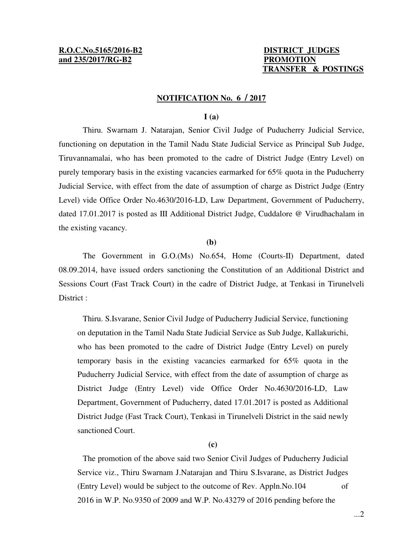# **R.O.C.No.5165/2016-B2 DISTRICT JUDGES and 235/2017/RG-B2 PROMOTION**

# **TRANSFER & POSTINGS**

### **NOTIFICATION No. 6 / 2017**

## **I (a)**

 Thiru. Swarnam J. Natarajan, Senior Civil Judge of Puducherry Judicial Service, functioning on deputation in the Tamil Nadu State Judicial Service as Principal Sub Judge, Tiruvannamalai, who has been promoted to the cadre of District Judge (Entry Level) on purely temporary basis in the existing vacancies earmarked for 65% quota in the Puducherry Judicial Service, with effect from the date of assumption of charge as District Judge (Entry Level) vide Office Order No.4630/2016-LD, Law Department, Government of Puducherry, dated 17.01.2017 is posted as III Additional District Judge, Cuddalore @ Virudhachalam in the existing vacancy.

#### **(b)**

 The Government in G.O.(Ms) No.654, Home (Courts-II) Department, dated 08.09.2014, have issued orders sanctioning the Constitution of an Additional District and Sessions Court (Fast Track Court) in the cadre of District Judge, at Tenkasi in Tirunelveli District :

 Thiru. S.Isvarane, Senior Civil Judge of Puducherry Judicial Service, functioning on deputation in the Tamil Nadu State Judicial Service as Sub Judge, Kallakurichi, who has been promoted to the cadre of District Judge (Entry Level) on purely temporary basis in the existing vacancies earmarked for 65% quota in the Puducherry Judicial Service, with effect from the date of assumption of charge as District Judge (Entry Level) vide Office Order No.4630/2016-LD, Law Department, Government of Puducherry, dated 17.01.2017 is posted as Additional District Judge (Fast Track Court), Tenkasi in Tirunelveli District in the said newly sanctioned Court.

## **(c)**

 The promotion of the above said two Senior Civil Judges of Puducherry Judicial Service viz., Thiru Swarnam J.Natarajan and Thiru S.Isvarane, as District Judges (Entry Level) would be subject to the outcome of Rev. Appln.No.104 of 2016 in W.P. No.9350 of 2009 and W.P. No.43279 of 2016 pending before the

...2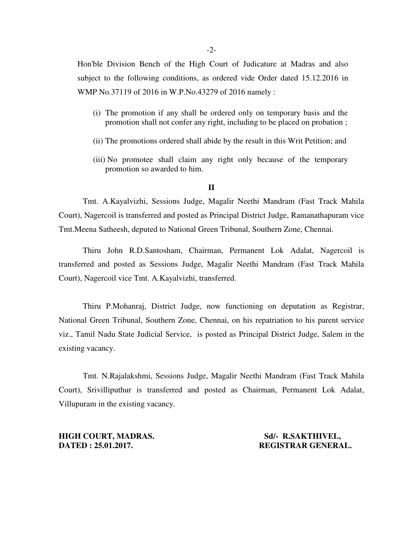Hon'ble Division Bench of the High Court of Judicature at Madras and also subject to the following conditions, as ordered vide Order dated 15.12.2016 in WMP No.37119 of 2016 in W.P.No.43279 of 2016 namely :

- (i) The promotion if any shall be ordered only on temporary basis and the promotion shall not confer any right, including to be placed on probation ;
- (ii) The promotions ordered shall abide by the result in this Writ Petition; and
- (iii) No promotee shall claim any right only because of the temporary promotion so awarded to him.

## **II**

 Tmt. A.Kayalvizhi, Sessions Judge, Magalir Neethi Mandram (Fast Track Mahila Court), Nagercoil is transferred and posted as Principal District Judge, Ramanathapuram vice Tmt.Meena Satheesh, deputed to National Green Tribunal, Southern Zone, Chennai.

 Thiru John R.D.Santosham, Chairman, Permanent Lok Adalat, Nagercoil is transferred and posted as Sessions Judge, Magalir Neethi Mandram (Fast Track Mahila Court), Nagercoil vice Tmt. A.Kayalvizhi, transferred.

 Thiru P.Mohanraj, District Judge, now functioning on deputation as Registrar, National Green Tribunal, Southern Zone, Chennai, on his repatriation to his parent service viz., Tamil Nadu State Judicial Service, is posted as Principal District Judge, Salem in the existing vacancy.

 Tmt. N.Rajalakshmi, Sessions Judge, Magalir Neethi Mandram (Fast Track Mahila Court), Srivilliputhur is transferred and posted as Chairman, Permanent Lok Adalat, Villupuram in the existing vacancy.

**HIGH COURT, MADRAS.** Sd/- R.SAKTHIVEL, **DATED : 25.01.2017. REGISTRAR GENERAL.**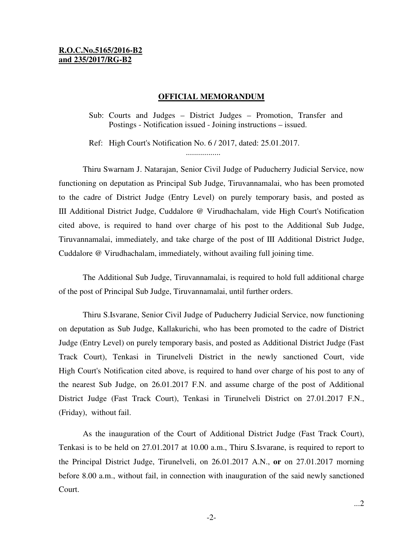# **R.O.C.No.5165/2016-B2 and 235/2017/RG-B2**

#### **OFFICIAL MEMORANDUM**

Sub: Courts and Judges – District Judges – Promotion, Transfer and Postings - Notification issued - Joining instructions – issued.

Ref: High Court's Notification No. 6 / 2017, dated: 25.01.2017. .................

 Thiru Swarnam J. Natarajan, Senior Civil Judge of Puducherry Judicial Service, now functioning on deputation as Principal Sub Judge, Tiruvannamalai, who has been promoted to the cadre of District Judge (Entry Level) on purely temporary basis, and posted as III Additional District Judge, Cuddalore @ Virudhachalam, vide High Court's Notification cited above, is required to hand over charge of his post to the Additional Sub Judge, Tiruvannamalai, immediately, and take charge of the post of III Additional District Judge, Cuddalore @ Virudhachalam, immediately, without availing full joining time.

 The Additional Sub Judge, Tiruvannamalai, is required to hold full additional charge of the post of Principal Sub Judge, Tiruvannamalai, until further orders.

 Thiru S.Isvarane, Senior Civil Judge of Puducherry Judicial Service, now functioning on deputation as Sub Judge, Kallakurichi, who has been promoted to the cadre of District Judge (Entry Level) on purely temporary basis, and posted as Additional District Judge (Fast Track Court), Tenkasi in Tirunelveli District in the newly sanctioned Court, vide High Court's Notification cited above, is required to hand over charge of his post to any of the nearest Sub Judge, on 26.01.2017 F.N. and assume charge of the post of Additional District Judge (Fast Track Court), Tenkasi in Tirunelveli District on 27.01.2017 F.N., (Friday), without fail.

 As the inauguration of the Court of Additional District Judge (Fast Track Court), Tenkasi is to be held on 27.01.2017 at 10.00 a.m., Thiru S.Isvarane, is required to report to the Principal District Judge, Tirunelveli, on 26.01.2017 A.N., **or** on 27.01.2017 morning before 8.00 a.m., without fail, in connection with inauguration of the said newly sanctioned Court.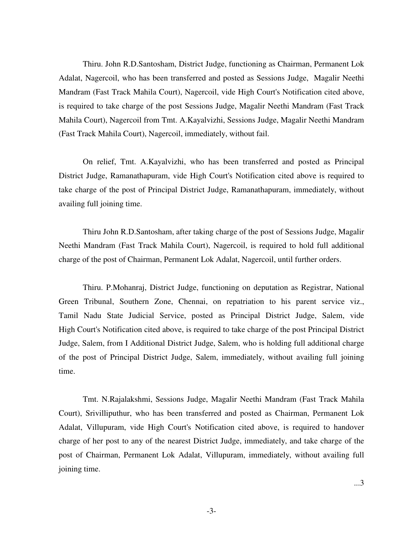Thiru. John R.D.Santosham, District Judge, functioning as Chairman, Permanent Lok Adalat, Nagercoil, who has been transferred and posted as Sessions Judge, Magalir Neethi Mandram (Fast Track Mahila Court), Nagercoil, vide High Court's Notification cited above, is required to take charge of the post Sessions Judge, Magalir Neethi Mandram (Fast Track Mahila Court), Nagercoil from Tmt. A.Kayalvizhi, Sessions Judge, Magalir Neethi Mandram (Fast Track Mahila Court), Nagercoil, immediately, without fail.

 On relief, Tmt. A.Kayalvizhi, who has been transferred and posted as Principal District Judge, Ramanathapuram, vide High Court's Notification cited above is required to take charge of the post of Principal District Judge, Ramanathapuram, immediately, without availing full joining time.

 Thiru John R.D.Santosham, after taking charge of the post of Sessions Judge, Magalir Neethi Mandram (Fast Track Mahila Court), Nagercoil, is required to hold full additional charge of the post of Chairman, Permanent Lok Adalat, Nagercoil, until further orders.

 Thiru. P.Mohanraj, District Judge, functioning on deputation as Registrar, National Green Tribunal, Southern Zone, Chennai, on repatriation to his parent service viz., Tamil Nadu State Judicial Service, posted as Principal District Judge, Salem, vide High Court's Notification cited above, is required to take charge of the post Principal District Judge, Salem, from I Additional District Judge, Salem, who is holding full additional charge of the post of Principal District Judge, Salem, immediately, without availing full joining time.

 Tmt. N.Rajalakshmi, Sessions Judge, Magalir Neethi Mandram (Fast Track Mahila Court), Srivilliputhur, who has been transferred and posted as Chairman, Permanent Lok Adalat, Villupuram, vide High Court's Notification cited above, is required to handover charge of her post to any of the nearest District Judge, immediately, and take charge of the post of Chairman, Permanent Lok Adalat, Villupuram, immediately, without availing full joining time.

...3